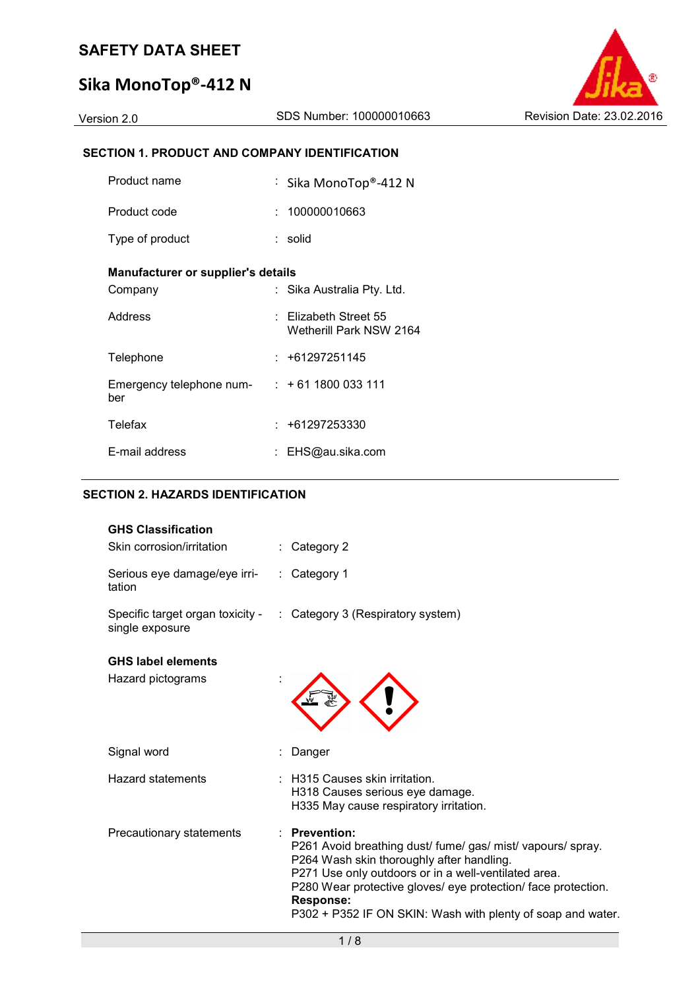# **Sika MonoTop®-412 N**

Version 2.0 SDS Number: 100000010663 Revision Date: 23.02.2016

#### **SECTION 1. PRODUCT AND COMPANY IDENTIFICATION**

| Product name                                              | : Sika MonoTop®-412 N                                |
|-----------------------------------------------------------|------------------------------------------------------|
| Product code                                              | : 100000010663                                       |
| Type of product                                           | : solid                                              |
| Manufacturer or supplier's details                        |                                                      |
| Company                                                   | : Sika Australia Pty. Ltd.                           |
| Address                                                   | $\pm$ Elizabeth Street 55<br>Wetherill Park NSW 2164 |
| Telephone                                                 | : +61297251145                                       |
| Emergency telephone num- $\cdot$ + 61 1800 033 111<br>ber |                                                      |
| Telefax                                                   | : +61297253330                                       |
| E-mail address                                            | EHS@au.sika.com                                      |

#### **SECTION 2. HAZARDS IDENTIFICATION**

| <b>GHS Classification</b>              |                                                                                                                                                                                                                                                                                                                                            |
|----------------------------------------|--------------------------------------------------------------------------------------------------------------------------------------------------------------------------------------------------------------------------------------------------------------------------------------------------------------------------------------------|
| Skin corrosion/irritation              | : Category 2                                                                                                                                                                                                                                                                                                                               |
| Serious eye damage/eye irri-<br>tation | $\therefore$ Category 1                                                                                                                                                                                                                                                                                                                    |
| single exposure                        | Specific target organ toxicity - : Category 3 (Respiratory system)                                                                                                                                                                                                                                                                         |
| <b>GHS label elements</b>              |                                                                                                                                                                                                                                                                                                                                            |
| Hazard pictograms                      |                                                                                                                                                                                                                                                                                                                                            |
| Signal word                            | Danger                                                                                                                                                                                                                                                                                                                                     |
| <b>Hazard statements</b>               | <b>H315 Causes skin irritation.</b><br>H318 Causes serious eye damage.<br>H335 May cause respiratory irritation.                                                                                                                                                                                                                           |
| Precautionary statements               | <b>Prevention:</b><br>P261 Avoid breathing dust/ fume/ gas/ mist/ vapours/ spray.<br>P264 Wash skin thoroughly after handling.<br>P271 Use only outdoors or in a well-ventilated area.<br>P280 Wear protective gloves/ eye protection/ face protection.<br><b>Response:</b><br>P302 + P352 IF ON SKIN: Wash with plenty of soap and water. |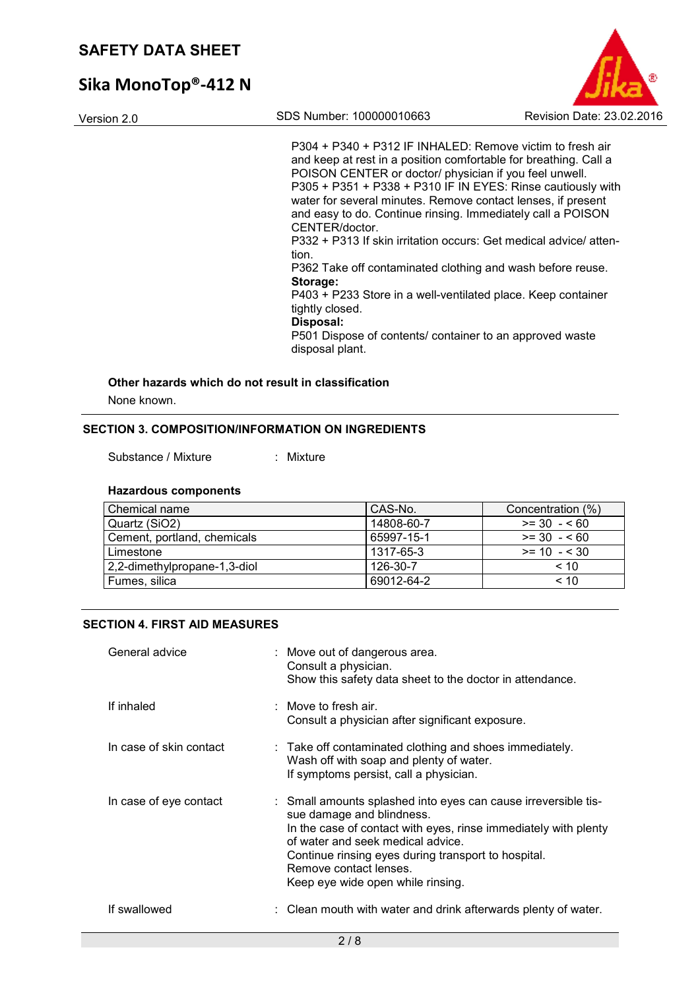# **Sika MonoTop®-412 N**



P304 + P340 + P312 IF INHALED: Remove victim to fresh air and keep at rest in a position comfortable for breathing. Call a POISON CENTER or doctor/ physician if you feel unwell. P305 + P351 + P338 + P310 IF IN EYES: Rinse cautiously with water for several minutes. Remove contact lenses, if present and easy to do. Continue rinsing. Immediately call a POISON CENTER/doctor.

P332 + P313 If skin irritation occurs: Get medical advice/ attention.

P362 Take off contaminated clothing and wash before reuse. **Storage:** 

P403 + P233 Store in a well-ventilated place. Keep container tightly closed.

#### **Disposal:**

P501 Dispose of contents/ container to an approved waste disposal plant.

#### **Other hazards which do not result in classification**

None known.

#### **SECTION 3. COMPOSITION/INFORMATION ON INGREDIENTS**

Substance / Mixture : Mixture

#### **Hazardous components**

| Chemical name                | CAS-No.    | Concentration (%) |
|------------------------------|------------|-------------------|
| Quartz (SiO2)                | 14808-60-7 | $>= 30 - 60$      |
| Cement, portland, chemicals  | 65997-15-1 | $>= 30 - 560$     |
| Limestone                    | 1317-65-3  | $>= 10 - 530$     |
| 2,2-dimethylpropane-1,3-diol | 126-30-7   | ~10               |
| Fumes, silica                | 69012-64-2 | < 10              |

#### **SECTION 4. FIRST AID MEASURES**

| General advice          | : Move out of dangerous area.<br>Consult a physician.<br>Show this safety data sheet to the doctor in attendance.                                                                                                                                                                                                         |
|-------------------------|---------------------------------------------------------------------------------------------------------------------------------------------------------------------------------------------------------------------------------------------------------------------------------------------------------------------------|
| If inhaled              | : Move to fresh air.<br>Consult a physician after significant exposure.                                                                                                                                                                                                                                                   |
| In case of skin contact | $\therefore$ Take off contaminated clothing and shoes immediately.<br>Wash off with soap and plenty of water.<br>If symptoms persist, call a physician.                                                                                                                                                                   |
| In case of eye contact  | : Small amounts splashed into eyes can cause irreversible tis-<br>sue damage and blindness.<br>In the case of contact with eyes, rinse immediately with plenty<br>of water and seek medical advice.<br>Continue rinsing eyes during transport to hospital.<br>Remove contact lenses.<br>Keep eye wide open while rinsing. |
| If swallowed            | : Clean mouth with water and drink afterwards plenty of water.                                                                                                                                                                                                                                                            |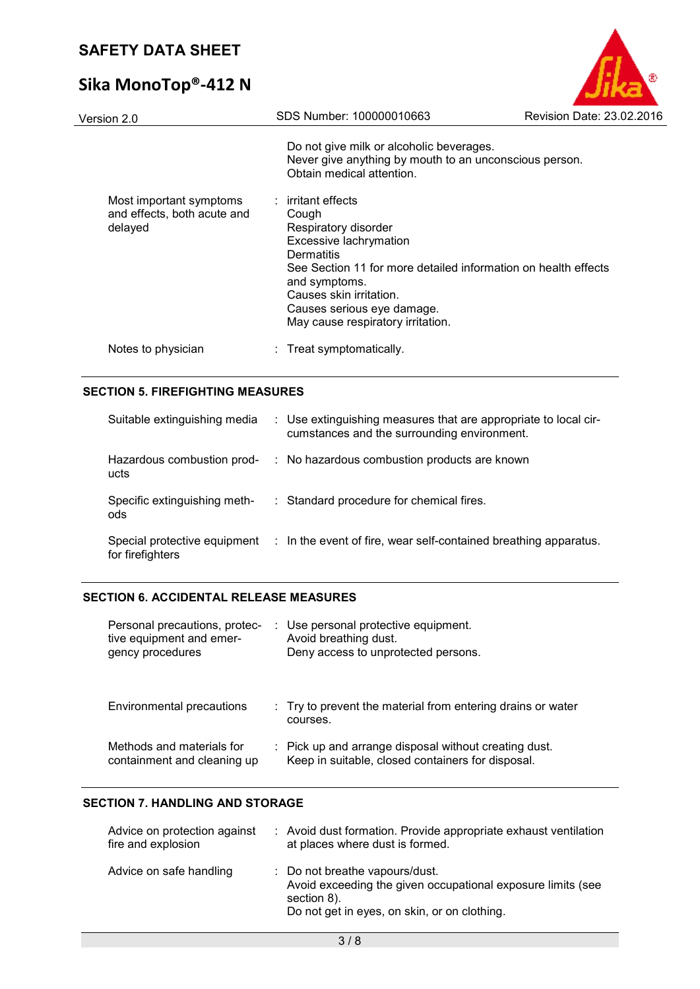# **Sika MonoTop®-412 N**

| Version 2.0                                                       | SDS Number: 100000010663                                                                                                                                                                                                                         | Revision Date: 23.02.2016 |
|-------------------------------------------------------------------|--------------------------------------------------------------------------------------------------------------------------------------------------------------------------------------------------------------------------------------------------|---------------------------|
|                                                                   | Do not give milk or alcoholic beverages.<br>Never give anything by mouth to an unconscious person.<br>Obtain medical attention.                                                                                                                  |                           |
| Most important symptoms<br>and effects, both acute and<br>delayed | $:$ irritant effects<br>Cough<br>Respiratory disorder<br>Excessive lachrymation<br><b>Dermatitis</b><br>See Section 11 for more detailed information on health effects<br>and symptoms.<br>Causes skin irritation.<br>Causes serious eye damage. |                           |
| Notes to physician                                                | May cause respiratory irritation.<br>: Treat symptomatically.                                                                                                                                                                                    |                           |
|                                                                   |                                                                                                                                                                                                                                                  |                           |

E

#### **SECTION 5. FIREFIGHTING MEASURES**

| Suitable extinguishing media                     | : Use extinguishing measures that are appropriate to local cir-<br>cumstances and the surrounding environment. |
|--------------------------------------------------|----------------------------------------------------------------------------------------------------------------|
| Hazardous combustion prod-<br>ucts               | : No hazardous combustion products are known                                                                   |
| Specific extinguishing meth-<br>ods              | : Standard procedure for chemical fires.                                                                       |
| Special protective equipment<br>for firefighters | : In the event of fire, wear self-contained breathing apparatus.                                               |

#### **SECTION 6. ACCIDENTAL RELEASE MEASURES**

| Personal precautions, protec-<br>tive equipment and emer-<br>gency procedures | : Use personal protective equipment.<br>Avoid breathing dust.<br>Deny access to unprotected persons.       |
|-------------------------------------------------------------------------------|------------------------------------------------------------------------------------------------------------|
| Environmental precautions                                                     | : Try to prevent the material from entering drains or water<br>courses.                                    |
| Methods and materials for<br>containment and cleaning up                      | : Pick up and arrange disposal without creating dust.<br>Keep in suitable, closed containers for disposal. |

#### **SECTION 7. HANDLING AND STORAGE**

| Advice on protection against<br>fire and explosion | : Avoid dust formation. Provide appropriate exhaust ventilation<br>at places where dust is formed.                                                           |
|----------------------------------------------------|--------------------------------------------------------------------------------------------------------------------------------------------------------------|
| Advice on safe handling                            | : Do not breathe vapours/dust.<br>Avoid exceeding the given occupational exposure limits (see<br>section 8).<br>Do not get in eyes, on skin, or on clothing. |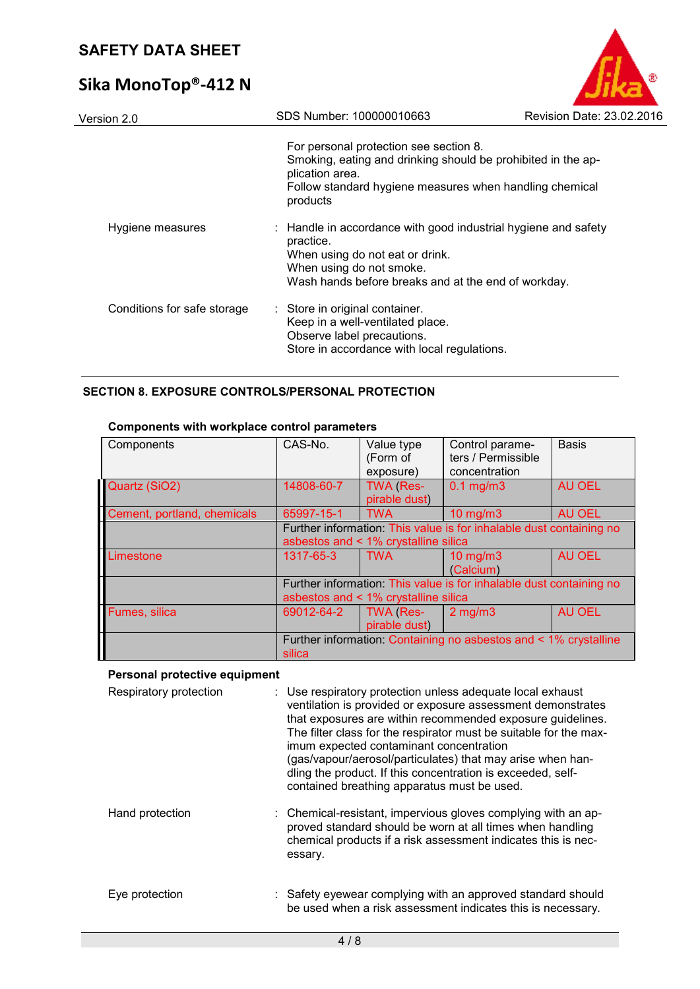# **Sika MonoTop®-412 N**

| Version 2.0                 | SDS Number: 100000010663                                                                                                                                                                          | Revision Date: 23.02.2016 |
|-----------------------------|---------------------------------------------------------------------------------------------------------------------------------------------------------------------------------------------------|---------------------------|
|                             | For personal protection see section 8.<br>Smoking, eating and drinking should be prohibited in the ap-<br>plication area.<br>Follow standard hygiene measures when handling chemical<br>products  |                           |
| Hygiene measures            | : Handle in accordance with good industrial hygiene and safety<br>practice.<br>When using do not eat or drink.<br>When using do not smoke.<br>Wash hands before breaks and at the end of workday. |                           |
| Conditions for safe storage | : Store in original container.<br>Keep in a well-ventilated place.<br>Observe label precautions.<br>Store in accordance with local regulations.                                                   |                           |

**E** 

#### **SECTION 8. EXPOSURE CONTROLS/PERSONAL PROTECTION**

| Components                  | CAS-No.                                                             | Value type<br>(Form of     | Control parame-<br>ters / Permissible                            | <b>Basis</b>  |
|-----------------------------|---------------------------------------------------------------------|----------------------------|------------------------------------------------------------------|---------------|
|                             |                                                                     | exposure)                  | concentration                                                    |               |
| Quartz (SiO2)               | 14808-60-7                                                          | TWA (Res-<br>pirable dust) | $0.1$ mg/m $3$                                                   | <b>AU OEL</b> |
| Cement, portland, chemicals | 65997-15-1                                                          | <b>TWA</b>                 | $10$ mg/m $3$                                                    | <b>AU OEL</b> |
|                             | Further information: This value is for inhalable dust containing no |                            |                                                                  |               |
|                             | asbestos and < 1% crystalline silica                                |                            |                                                                  |               |
| Limestone                   | 1317-65-3                                                           | <b>TWA</b>                 | $10$ mg/m $3$                                                    | <b>AU OEL</b> |
|                             |                                                                     |                            | (Calcium)                                                        |               |
|                             | Further information: This value is for inhalable dust containing no |                            |                                                                  |               |
|                             | asbestos and < 1% crystalline silica                                |                            |                                                                  |               |
| Fumes, silica               | 69012-64-2                                                          | TWA (Res-                  | $2$ mg/m $3$                                                     | <b>AU OEL</b> |
|                             |                                                                     | pirable dust)              |                                                                  |               |
|                             | silica                                                              |                            | Further information: Containing no asbestos and < 1% crystalline |               |

#### **Components with workplace control parameters**

#### **Personal protective equipment**

| Respiratory protection | : Use respiratory protection unless adequate local exhaust<br>ventilation is provided or exposure assessment demonstrates<br>that exposures are within recommended exposure quidelines.<br>The filter class for the respirator must be suitable for the max-<br>imum expected contaminant concentration<br>(gas/vapour/aerosol/particulates) that may arise when han-<br>dling the product. If this concentration is exceeded, self-<br>contained breathing apparatus must be used. |
|------------------------|-------------------------------------------------------------------------------------------------------------------------------------------------------------------------------------------------------------------------------------------------------------------------------------------------------------------------------------------------------------------------------------------------------------------------------------------------------------------------------------|
| Hand protection        | : Chemical-resistant, impervious gloves complying with an ap-<br>proved standard should be worn at all times when handling<br>chemical products if a risk assessment indicates this is nec-<br>essary.                                                                                                                                                                                                                                                                              |
| Eye protection         | : Safety eyewear complying with an approved standard should<br>be used when a risk assessment indicates this is necessary.                                                                                                                                                                                                                                                                                                                                                          |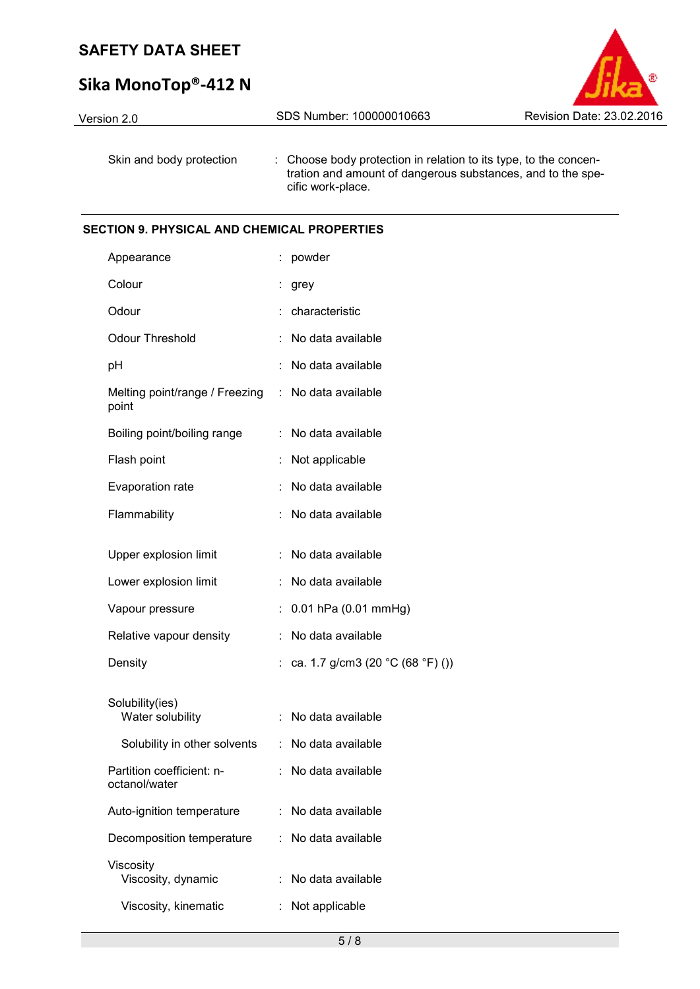# **Sika MonoTop®-412 N**

| Version 2.0              | SDS Number: 100000010663                                                                                                                             | Revision Date: 23.02.2016 |
|--------------------------|------------------------------------------------------------------------------------------------------------------------------------------------------|---------------------------|
| Skin and body protection | : Choose body protection in relation to its type, to the concen-<br>tration and amount of dangerous substances, and to the spe-<br>cific work-place. |                           |

#### **SECTION 9. PHYSICAL AND CHEMICAL PROPERTIES**

| Appearance                                 |    | powder                           |
|--------------------------------------------|----|----------------------------------|
| Colour                                     | İ. | grey                             |
| Odour                                      |    | characteristic                   |
| <b>Odour Threshold</b>                     |    | No data available                |
| pH                                         |    | No data available                |
| Melting point/range / Freezing<br>point    | ÷. | No data available                |
| Boiling point/boiling range                | ÷  | No data available                |
| Flash point                                |    | Not applicable                   |
| Evaporation rate                           | ÷  | No data available                |
| Flammability                               | ÷  | No data available                |
| Upper explosion limit                      | ÷  | No data available                |
| Lower explosion limit                      |    | No data available                |
| Vapour pressure                            |    | 0.01 hPa (0.01 mmHg)             |
| Relative vapour density                    | ÷  | No data available                |
| Density                                    | ÷. | ca. 1.7 g/cm3 (20 °C (68 °F) ()) |
|                                            |    |                                  |
| Solubility(ies)<br>Water solubility        | ÷  | No data available                |
| Solubility in other solvents               |    | : No data available              |
| Partition coefficient: n-<br>octanol/water |    | No data available                |
| Auto-ignition temperature                  | ÷. | No data available                |
| Decomposition temperature                  | ÷  | No data available                |
| Viscosity<br>Viscosity, dynamic            |    | No data available                |
| Viscosity, kinematic                       |    | Not applicable                   |

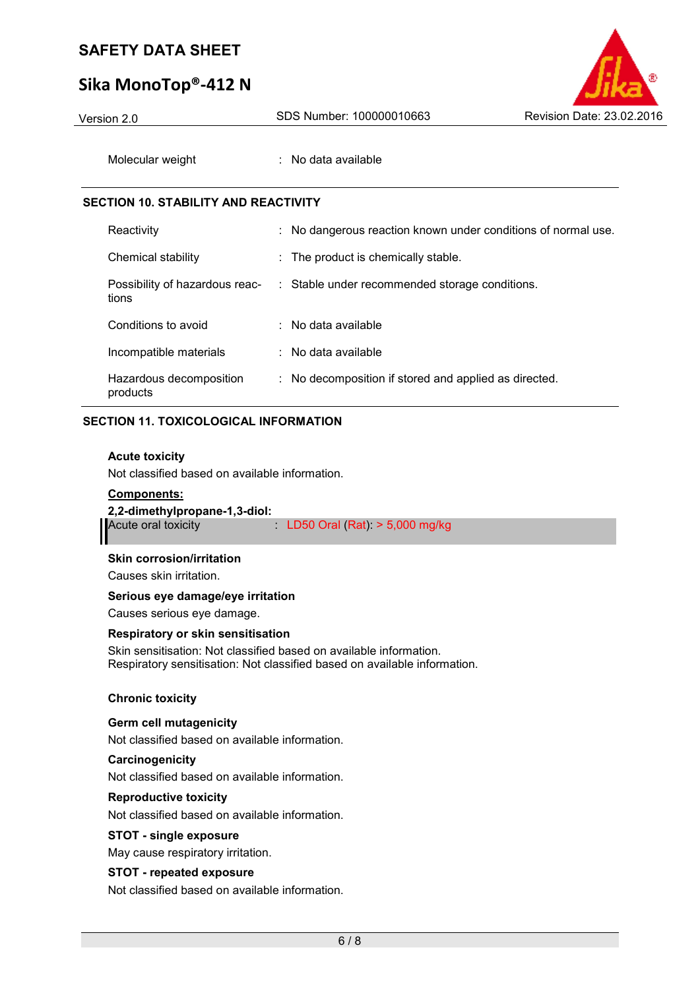## **Sika MonoTop®-412 N**



| Version 2.0                                 | SDS Number: 100000010663                                      | Revision Date: 23.02.2016 |
|---------------------------------------------|---------------------------------------------------------------|---------------------------|
| Molecular weight                            | : No data available                                           |                           |
| <b>SECTION 10. STABILITY AND REACTIVITY</b> |                                                               |                           |
| Reactivity                                  | : No dangerous reaction known under conditions of normal use. |                           |
| Chemical stability                          | : The product is chemically stable.                           |                           |
| Possibility of hazardous reac-<br>tions     | : Stable under recommended storage conditions.                |                           |
| Conditions to avoid                         | $:$ No data available                                         |                           |
| Incompatible materials                      | $:$ No data available                                         |                           |
| Hazardous decomposition<br>products         | : No decomposition if stored and applied as directed.         |                           |

### **SECTION 11. TOXICOLOGICAL INFORMATION**

#### **Acute toxicity**

Not classified based on available information.

#### **Components:**

# **2,2-dimethylpropane-1,3-diol:**

 $LD50$  Oral (Rat):  $> 5,000$  mg/kg

#### **Skin corrosion/irritation**

Causes skin irritation.

#### **Serious eye damage/eye irritation**

Causes serious eye damage.

#### **Respiratory or skin sensitisation**

Skin sensitisation: Not classified based on available information. Respiratory sensitisation: Not classified based on available information.

#### **Chronic toxicity**

#### **Germ cell mutagenicity**

Not classified based on available information.

#### **Carcinogenicity**  Not classified based on available information.

**Reproductive toxicity** 

Not classified based on available information.

#### **STOT - single exposure**

May cause respiratory irritation.

#### **STOT - repeated exposure**

Not classified based on available information.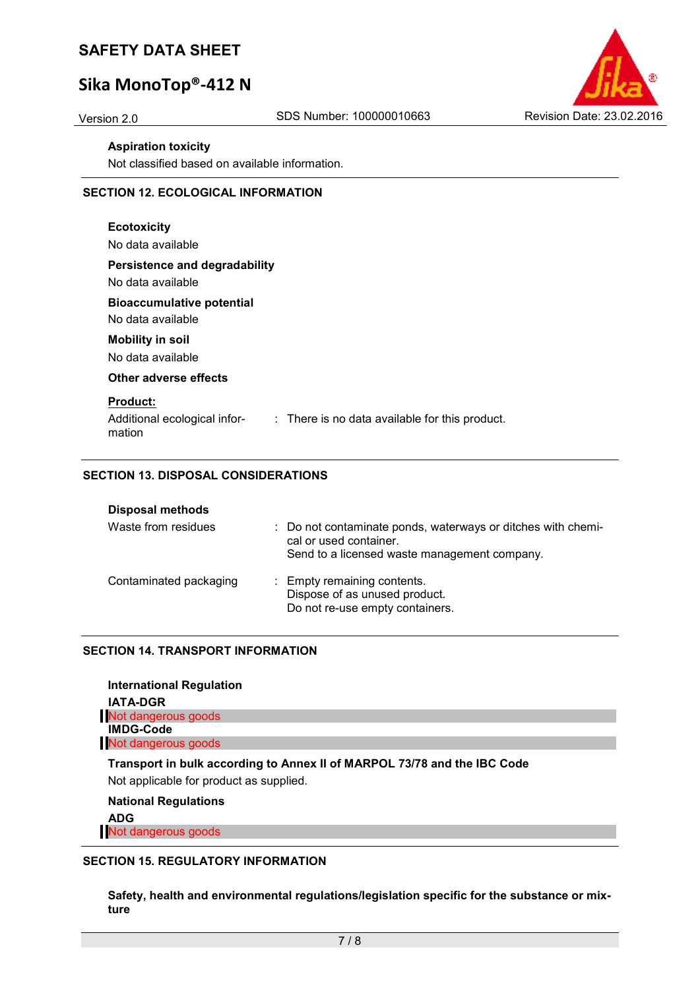# **Sika MonoTop®-412 N**



#### **Aspiration toxicity**

Not classified based on available information.

#### **SECTION 12. ECOLOGICAL INFORMATION**

| <b>Ecotoxicity</b><br>No data available                                                                     |
|-------------------------------------------------------------------------------------------------------------|
| Persistence and degradability<br>No data available                                                          |
| <b>Bioaccumulative potential</b><br>No data available                                                       |
| <b>Mobility in soil</b><br>No data available                                                                |
| Other adverse effects                                                                                       |
| <b>Product:</b><br>Additional ecological infor-<br>: There is no data available for this product.<br>mation |

#### **SECTION 13. DISPOSAL CONSIDERATIONS**

| <b>Disposal methods</b> |                                                                                                                                        |
|-------------------------|----------------------------------------------------------------------------------------------------------------------------------------|
| Waste from residues     | : Do not contaminate ponds, waterways or ditches with chemi-<br>cal or used container.<br>Send to a licensed waste management company. |
| Contaminated packaging  | : Empty remaining contents.<br>Dispose of as unused product.<br>Do not re-use empty containers.                                        |

#### **SECTION 14. TRANSPORT INFORMATION**

| <b>International Regulation</b>                                                                                     |  |
|---------------------------------------------------------------------------------------------------------------------|--|
| <b>IATA-DGR</b>                                                                                                     |  |
| Not dangerous goods                                                                                                 |  |
| <b>IMDG-Code</b>                                                                                                    |  |
| Not dangerous goods                                                                                                 |  |
| Transport in bulk according to Annex II of MARPOL 73/78 and the IBC Code<br>Not applicable for product as supplied. |  |

#### **National Regulations**

**ADG**

Not dangerous goods

#### **SECTION 15. REGULATORY INFORMATION**

**Safety, health and environmental regulations/legislation specific for the substance or mixture**